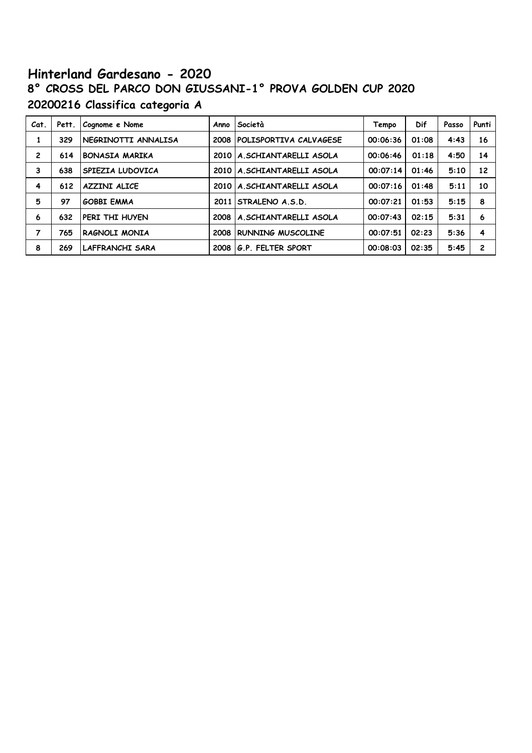# **Hinterland Gardesano - 2020 8° CROSS DEL PARCO DON GIUSSANI-1° PROVA GOLDEN CUP 2020 20200216 Classifica categoria A**

| Cat.           | Pett. | Cognome e Nome         | Anno | Società                       | Tempo    | Dif   | Passo | Punti |
|----------------|-------|------------------------|------|-------------------------------|----------|-------|-------|-------|
| 1              | 329   | NEGRINOTTI ANNALISA    | 2008 | <b>POLISPORTIVA CALVAGESE</b> | 00:06:36 | 01:08 | 4:43  | 16    |
| $\overline{c}$ | 614   | <b>BONASIA MARIKA</b>  |      | 2010   A. SCHIANTARELLI ASOLA | 00:06:46 | 01:18 | 4:50  | 14    |
| 3              | 638   | SPIEZIA LUDOVICA       |      | 2010 A.SCHIANTARELLI ASOLA    | 00:07:14 | 01:46 | 5:10  | 12    |
| 4              | 612   | <b>AZZINI ALICE</b>    |      | 2010 A.SCHIANTARELLI ASOLA    | 00:07:16 | 01:48 | 5:11  | 10    |
| 5              | 97    | <b>GOBBI EMMA</b>      | 2011 | ISTRALENO A.S.D.              | 00:07:21 | 01:53 | 5:15  | 8     |
| 6              | 632   | PERI THI HUYEN         | 2008 | A.SCHIANTARELLI ASOLA         | 00:07:43 | 02:15 | 5:31  | 6     |
| 7              | 765   | RAGNOLI MONIA          | 2008 | <b>RUNNING MUSCOLINE</b>      | 00:07:51 | 02:23 | 5:36  | 4     |
| 8              | 269   | <b>LAFFRANCHI SARA</b> | 2008 | G.P. FELTER SPORT             | 00:08:03 | 02:35 | 5:45  | 2     |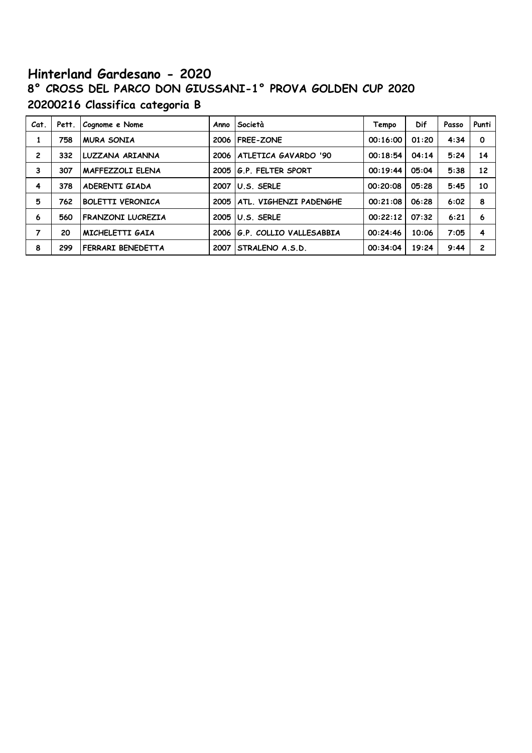# **Hinterland Gardesano - 2020 8° CROSS DEL PARCO DON GIUSSANI-1° PROVA GOLDEN CUP 2020 20200216 Classifica categoria B**

| Cat.           | Pett. | Cognome e Nome           | Anno | Società                 | Tempo    | <b>Dif</b> | Passo | Punti       |
|----------------|-------|--------------------------|------|-------------------------|----------|------------|-------|-------------|
| 1              | 758   | <b>MURA SONIA</b>        | 2006 | <b>FREE-ZONE</b>        | 00:16:00 | 01:20      | 4:34  | $\mathbf 0$ |
| $\overline{c}$ | 332   | LUZZANA ARIANNA          | 2006 | ATLETICA GAVARDO '90    | 00:18:54 | 04:14      | 5:24  | 14          |
| 3              | 307   | <b>MAFFEZZOLI ELENA</b>  | 2005 | 1G.P. FELTER SPORT      | 00:19:44 | 05:04      | 5:38  | 12          |
| 4              | 378   | ADERENTI GIADA           | 2007 | U.S. SERLE              | 00:20:08 | 05:28      | 5:45  | 10          |
| 5              | 762   | <b>BOLETTI VERONICA</b>  | 2005 | ATL. VIGHENZI PADENGHE  | 00:21:08 | 06:28      | 6:02  | 8           |
| 6              | 560   | <b>FRANZONI LUCREZIA</b> | 2005 | U.S. SERLE              | 00:22:12 | 07:32      | 6:21  | 6           |
| 7              | 20    | MICHELETTI GAIA          | 2006 | G.P. COLLIO VALLESABBIA | 00:24:46 | 10:06      | 7:05  | 4           |
| 8              | 299   | FERRARI BENEDETTA        | 2007 | STRALENO A.S.D.         | 00:34:04 | 19:24      | 9:44  | 2           |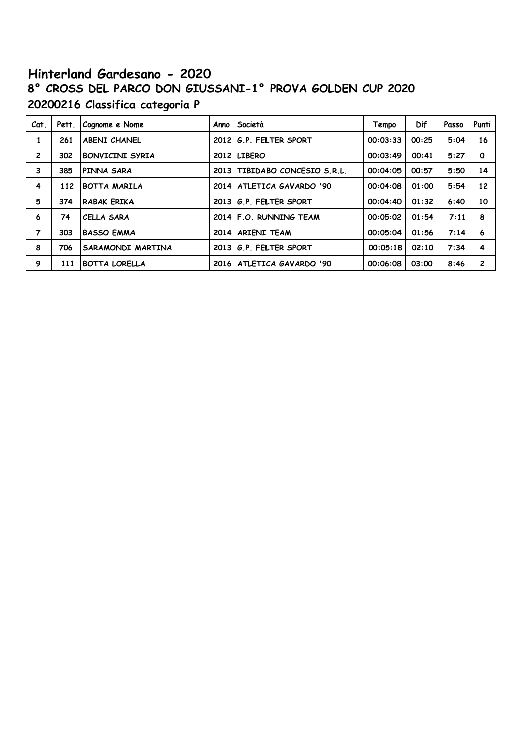# **Hinterland Gardesano - 2020 8° CROSS DEL PARCO DON GIUSSANI-1° PROVA GOLDEN CUP 2020 20200216 Classifica categoria P**

| Cat.           | Pett. | Cognome e Nome         | Anno   | Società                     | Tempo    | Dif   | Passo | Punti                   |
|----------------|-------|------------------------|--------|-----------------------------|----------|-------|-------|-------------------------|
| 1              | 261   | <b>ABENI CHANEL</b>    |        | 2012 G.P. FELTER SPORT      | 00:03:33 | 00:25 | 5:04  | 16                      |
| $\overline{2}$ | 302   | <b>BONVICINI SYRIA</b> |        | 2012 LIBERO                 | 00:03:49 | 00:41 | 5:27  | $\mathbf 0$             |
| 3              | 385   | PINNA SARA             | 2013   | TIBIDABO CONCESIO S.R.L.    | 00:04:05 | 00:57 | 5:50  | 14                      |
| 4              | 112   | <b>BOTTA MARILA</b>    | 2014 l | ATLETICA GAVARDO '90        | 00:04:08 | 01:00 | 5:54  | 12                      |
| 5              | 374   | <b>RABAK ERIKA</b>     |        | 2013 G.P. FELTER SPORT      | 00:04:40 | 01:32 | 6:40  | 10                      |
| 6              | 74    | CELLA SARA             |        | 2014 F.O. RUNNING TEAM      | 00:05:02 | 01:54 | 7:11  | 8                       |
| $\overline{7}$ | 303   | <b>BASSO EMMA</b>      | 2014   | <b>ARIENI TEAM</b>          | 00:05:04 | 01:56 | 7:14  | 6                       |
| 8              | 706   | SARAMONDI MARTINA      | 2013   | G.P. FELTER SPORT           | 00:05:18 | 02:10 | 7:34  | $\overline{\mathbf{4}}$ |
| 9              | 111   | <b>BOTTA LORELLA</b>   |        | 2016   ATLETICA GAVARDO '90 | 00:06:08 | 03:00 | 8:46  | $\mathbf{2}$            |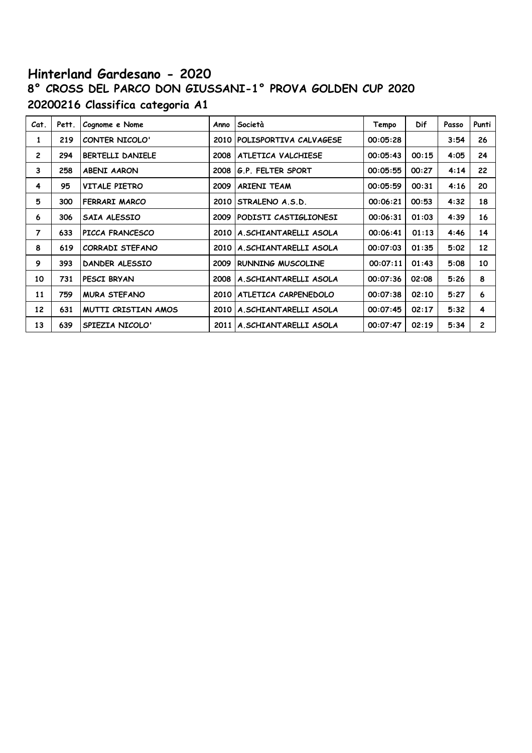# **Hinterland Gardesano - 2020 8° CROSS DEL PARCO DON GIUSSANI-1° PROVA GOLDEN CUP 2020 20200216 Classifica categoria A1**

| Cat.           | Pett. | Cognome e Nome          | Anno | Società                    | Tempo    | Dif   | Passo | Punti          |
|----------------|-------|-------------------------|------|----------------------------|----------|-------|-------|----------------|
| 1              | 219   | CONTER NICOLO'          | 2010 | POLISPORTIVA CALVAGESE     | 00:05:28 |       | 3:54  | 26             |
| $\overline{c}$ | 294   | <b>BERTELLI DANIELE</b> | 2008 | ATLETICA VALCHIESE         | 00:05:43 | 00:15 | 4:05  | 24             |
| 3              | 258   | <b>ABENI AARON</b>      | 2008 | G.P. FELTER SPORT          | 00:05:55 | 00:27 | 4:14  | 22             |
| 4              | 95    | <b>VITALE PIETRO</b>    | 2009 | <b>ARIENI TEAM</b>         | 00:05:59 | 00:31 | 4:16  | 20             |
| 5              | 300   | FERRARI MARCO           | 2010 | STRALENO A.S.D.            | 00:06:21 | 00:53 | 4:32  | 18             |
| 6              | 306   | SAIA ALESSIO            | 2009 | PODISTI CASTIGLIONESI      | 00:06:31 | 01:03 | 4:39  | 16             |
| 7              | 633   | PICCA FRANCESCO         |      | 2010 A.SCHIANTARELLI ASOLA | 00:06:41 | 01:13 | 4:46  | 14             |
| 8              | 619   | CORRADI STEFANO         | 2010 | A.SCHIANTARELLI ASOLA      | 00:07:03 | 01:35 | 5:02  | 12             |
| 9              | 393   | <b>DANDER ALESSIO</b>   | 2009 | <b>RUNNING MUSCOLINE</b>   | 00:07:11 | 01:43 | 5:08  | 10             |
| 10             | 731   | PESCI BRYAN             | 2008 | A.SCHIANTARELLI ASOLA      | 00:07:36 | 02:08 | 5:26  | 8              |
| 11             | 759   | <b>MURA STEFANO</b>     | 2010 | ATLETICA CARPENEDOLO       | 00:07:38 | 02:10 | 5:27  | 6              |
| 12             | 631   | MUTTI CRISTIAN AMOS     |      | 2010 A.SCHIANTARELLI ASOLA | 00:07:45 | 02:17 | 5:32  | 4              |
| 13             | 639   | SPIEZIA NICOLO'         | 2011 | A.SCHIANTARELLI ASOLA      | 00:07:47 | 02:19 | 5:34  | $\overline{c}$ |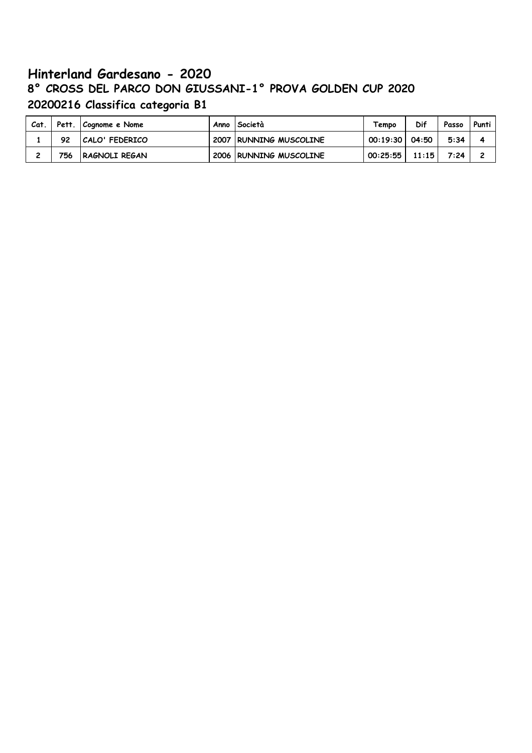# **Hinterland Gardesano - 2020 8° CROSS DEL PARCO DON GIUSSANI-1° PROVA GOLDEN CUP 2020 20200216 Classifica categoria B1**

| Cat. |     | Pett.   Cognome e Nome | Anno   Società         | Tempo              | Dif   | Passo | Punti |
|------|-----|------------------------|------------------------|--------------------|-------|-------|-------|
|      | 92  | CALO' FEDERICO         | 2007 RUNNING MUSCOLINE | $00:19:30$   04:50 |       | 5:34  |       |
| -    | 756 | RAGNOLI REGAN          | 2006 RUNNING MUSCOLINE | 00:25:55           | 11:15 | 7:24  |       |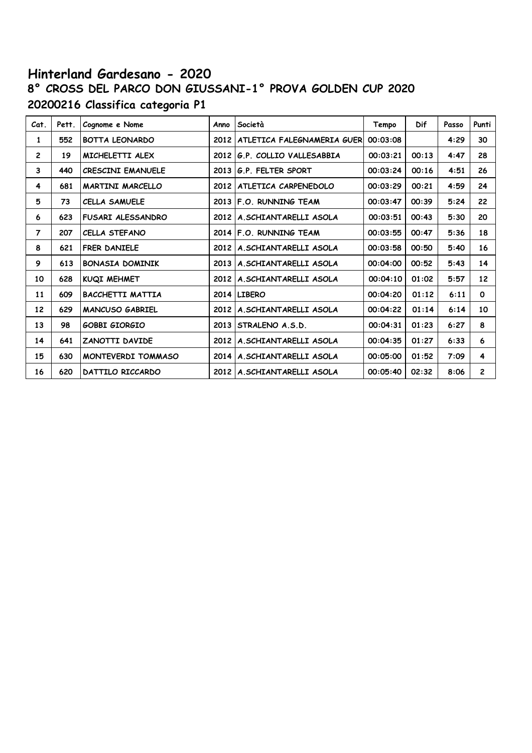# **Hinterland Gardesano - 2020 8° CROSS DEL PARCO DON GIUSSANI-1° PROVA GOLDEN CUP 2020 20200216 Classifica categoria P1**

| Cat.            | Pett. | Cognome e Nome            | Anno | Società                           | Tempo    | <b>Dif</b> | Passo | Punti        |
|-----------------|-------|---------------------------|------|-----------------------------------|----------|------------|-------|--------------|
| 1               | 552   | <b>BOTTA LEONARDO</b>     |      | 2012   ATLETICA FALEGNAMERIA GUER | 00:03:08 |            | 4:29  | 30           |
| $\overline{2}$  | 19    | MICHELETTI ALEX           | 2012 | G.P. COLLIO VALLESABBIA           | 00:03:21 | 00:13      | 4:47  | 28           |
| 3               | 440   | <b>CRESCINI EMANUELE</b>  | 2013 | G.P. FELTER SPORT                 | 00:03:24 | 00:16      | 4:51  | 26           |
| 4               | 681   | <b>MARTINI MARCELLO</b>   |      | 2012   ATLETICA CARPENEDOLO       | 00:03:29 | 00:21      | 4:59  | 24           |
| 5               | 73    | <b>CELLA SAMUELE</b>      |      | 2013 F.O. RUNNING TEAM            | 00:03:47 | 00:39      | 5:24  | 22           |
| 6               | 623   | <b>FUSARI ALESSANDRO</b>  |      | 2012 A.SCHIANTARELLI ASOLA        | 00:03:51 | 00:43      | 5:30  | 20           |
| $\overline{7}$  | 207   | <b>CELLA STEFANO</b>      |      | 2014 F.O. RUNNING TEAM            | 00:03:55 | 00:47      | 5:36  | 18           |
| 8               | 621   | <b>FRER DANIELE</b>       |      | 2012 A.SCHIANTARELLI ASOLA        | 00:03:58 | 00:50      | 5:40  | 16           |
| 9               | 613   | <b>BONASIA DOMINIK</b>    |      | 2013   A. SCHIANTARELLI ASOLA     | 00:04:00 | 00:52      | 5:43  | 14           |
| 10              | 628   | KUQI MEHMET               | 2012 | A.SCHIANTARELLI ASOLA             | 00:04:10 | 01:02      | 5:57  | 12           |
| 11              | 609   | <b>BACCHETTI MATTIA</b>   |      | 2014 LIBERO                       | 00:04:20 | 01:12      | 6:11  | $\mathbf{o}$ |
| 12 <sup>2</sup> | 629   | <b>MANCUSO GABRIEL</b>    |      | 2012 A.SCHIANTARELLI ASOLA        | 00:04:22 | 01:14      | 6:14  | 10           |
| 13              | 98    | <b>GOBBI GIORGIO</b>      | 2013 | STRALENO A.S.D.                   | 00:04:31 | 01:23      | 6:27  | 8            |
| 14              | 641   | <b>ZANOTTI DAVIDE</b>     |      | 2012 A.SCHIANTARELLI ASOLA        | 00:04:35 | 01:27      | 6:33  | 6            |
| 15              | 630   | <b>MONTEVERDI TOMMASO</b> |      | 2014 A.SCHIANTARELLI ASOLA        | 00:05:00 | 01:52      | 7:09  | 4            |
| 16              | 620   | DATTILO RICCARDO          |      | 2012 A.SCHIANTARELLI ASOLA        | 00:05:40 | 02:32      | 8:06  | $\mathbf{2}$ |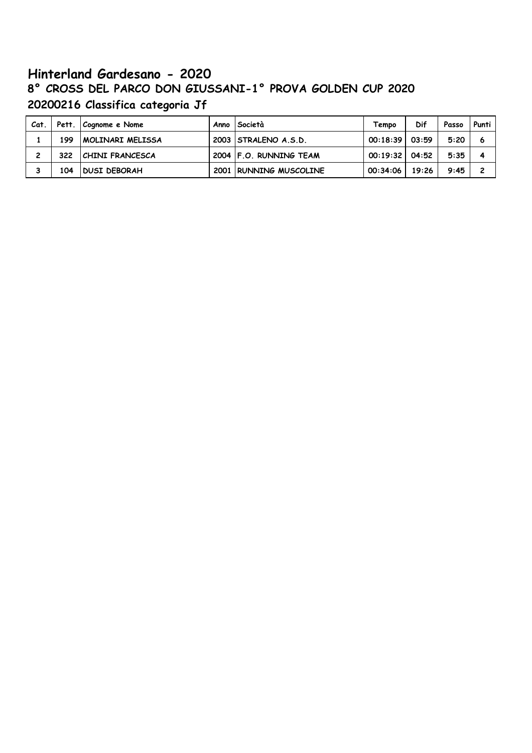# **Hinterland Gardesano - 2020 8° CROSS DEL PARCO DON GIUSSANI-1° PROVA GOLDEN CUP 2020 20200216 Classifica categoria Jf**

| Cat. |     | Pett. Cognome e Nome   | Anno <i>Società</i>    | Tempo              | Dif   | Passo | Punti, |
|------|-----|------------------------|------------------------|--------------------|-------|-------|--------|
|      | 199 | MOLINARI MELISSA       | 2003 STRALENO A.S.D.   | 00:18:39           | 03:59 | 5:20  | 6      |
|      | 322 | <b>CHINI FRANCESCA</b> | 2004 F.O. RUNNING TEAM | $00:19:32$   04:52 |       | 5:35  |        |
|      | 104 | <b>DUSI DEBORAH</b>    | 2001 RUNNING MUSCOLINE | 00:34:06           | 19:26 | 9:45  |        |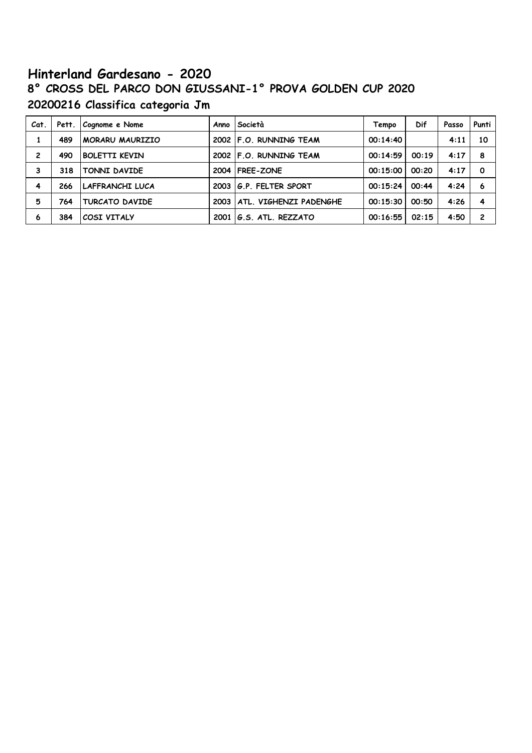# **Hinterland Gardesano - 2020 8° CROSS DEL PARCO DON GIUSSANI-1° PROVA GOLDEN CUP 2020 20200216 Classifica categoria Jm**

| Cat. | Pett. | Cognome e Nome         | Anno Società                  | Tempo    | Dif   | Passo | Punti          |
|------|-------|------------------------|-------------------------------|----------|-------|-------|----------------|
|      | 489   | <b>MORARU MAURIZIO</b> | 2002 F.O. RUNNING TEAM        | 00:14:40 |       | 4:11  | 10             |
| 2    | 490   | <b>BOLETTI KEVIN</b>   | 2002 F.O. RUNNING TEAM        | 00:14:59 | 00:19 | 4:17  | 8              |
| 3    | 318   | TONNI DAVIDE           | 2004 FREE-ZONE                | 00:15:00 | 00:20 | 4:17  | O              |
| 4    | 266   | LAFFRANCHI LUCA        | 2003 G.P. FELTER SPORT        | 00:15:24 | 00:44 | 4:24  | 6              |
| 5    | 764   | TURCATO DAVIDE         | 2003   ATL. VIGHENZI PADENGHE | 00:15:30 | 00:50 | 4:26  | 4              |
| 6    | 384   | COSI VITALY            | 2001   G.S. ATL. REZZATO      | 00:16:55 | 02:15 | 4:50  | $\overline{c}$ |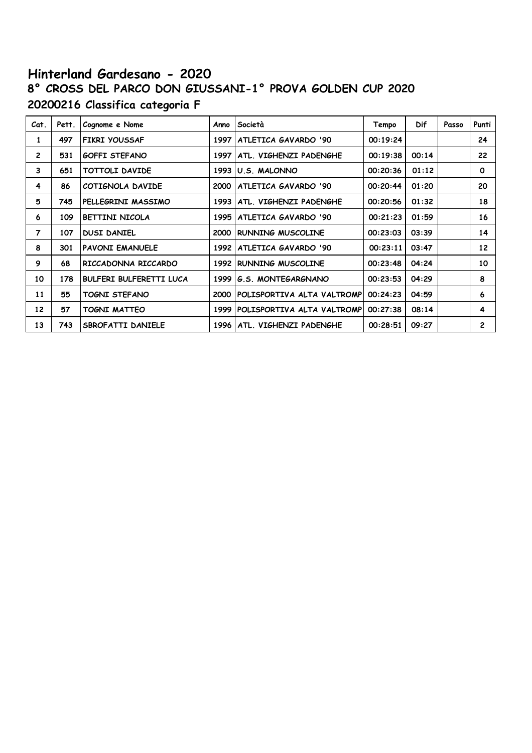# **Hinterland Gardesano - 2020 8° CROSS DEL PARCO DON GIUSSANI-1° PROVA GOLDEN CUP 2020 20200216 Classifica categoria F**

| Cat.           | Pett. | Cognome e Nome                 | Anno | Società                          | Tempo    | <b>Dif</b> | Passo | Punti        |
|----------------|-------|--------------------------------|------|----------------------------------|----------|------------|-------|--------------|
| 1              | 497   | <b>FIKRI YOUSSAF</b>           | 1997 | ATLETICA GAVARDO '90             | 00:19:24 |            |       | 24           |
| $\mathbf{2}$   | 531   | <b>GOFFI STEFANO</b>           | 1997 | ATL. VIGHENZI PADENGHE           | 00:19:38 | 00:14      |       | 22           |
| 3              | 651   | TOTTOLI DAVIDE                 |      | 1993 U.S. MALONNO                | 00:20:36 | 01:12      |       | $\mathbf{o}$ |
| 4              | 86    | COTIGNOLA DAVIDE               | 2000 | ATLETICA GAVARDO '90             | 00:20:44 | 01:20      |       | 20           |
| 5              | 745   | PELLEGRINI MASSIMO             | 1993 | ATL. VIGHENZI PADENGHE           | 00:20:56 | 01:32      |       | 18           |
| 6              | 109   | BETTINI NICOLA                 | 1995 | ATLETICA GAVARDO '90             | 00:21:23 | 01:59      |       | 16           |
| $\overline{7}$ | 107   | <b>DUSI DANIEL</b>             | 2000 | RUNNING MUSCOLINE                | 00:23:03 | 03:39      |       | 14           |
| 8              | 301   | <b>PAVONI EMANUELE</b>         | 1992 | ATLETICA GAVARDO '90             | 00:23:11 | 03:47      |       | 12           |
| 9              | 68    | RICCADONNA RICCARDO            |      | 1992 RUNNING MUSCOLINE           | 00:23:48 | 04:24      |       | 10           |
| 10             | 178   | <b>BULFERI BULFERETTI LUCA</b> | 1999 | G.S. MONTEGARGNANO               | 00:23:53 | 04:29      |       | 8            |
| 11             | 55    | TOGNI STEFANO                  | 2000 | POLISPORTIVA ALTA VALTROMP       | 00:24:23 | 04:59      |       | 6            |
| 12             | 57    | TOGNI MATTEO                   |      | 1999 POLISPORTIVA ALTA VALTROMPI | 00:27:38 | 08:14      |       | 4            |
| 13             | 743   | SBROFATTI DANIELE              |      | 1996   ATL. VIGHENZI PADENGHE    | 00:28:51 | 09:27      |       | $\mathbf{2}$ |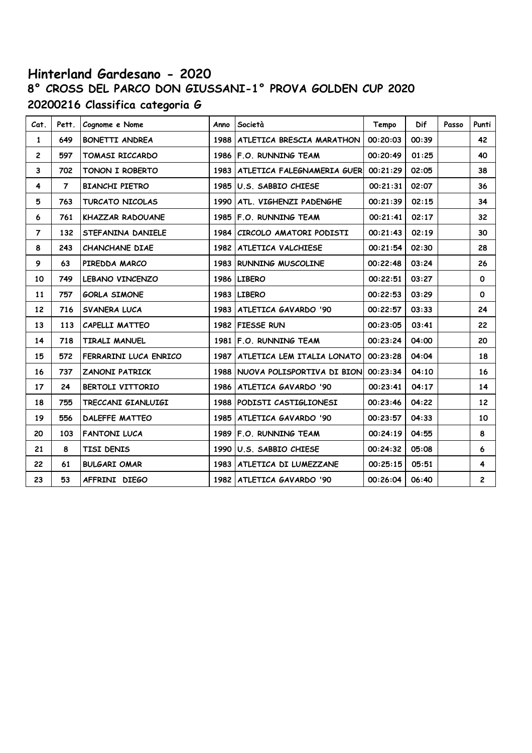# **Hinterland Gardesano - 2020 8° CROSS DEL PARCO DON GIUSSANI-1° PROVA GOLDEN CUP 2020 20200216 Classifica categoria G**

| Cat.           | Pett.          | Cognome e Nome          | Anno | Società                                  | Tempo    | Dif   | Passo | Punti                   |
|----------------|----------------|-------------------------|------|------------------------------------------|----------|-------|-------|-------------------------|
| $\mathbf{1}$   | 649            | <b>BONETTI ANDREA</b>   | 1988 | ATLETICA BRESCIA MARATHON                | 00:20:03 | 00:39 |       | 42                      |
| $\overline{2}$ | 597            | <b>TOMASI RICCARDO</b>  |      | 1986 F.O. RUNNING TEAM                   | 00:20:49 | 01:25 |       | 40                      |
| 3              | 702            | <b>TONON I ROBERTO</b>  |      | 1983   ATLETICA FALEGNAMERIA GUER        | 00:21:29 | 02:05 |       | 38                      |
| 4              | $\overline{7}$ | <b>BIANCHI PIETRO</b>   |      | 1985 U.S. SABBIO CHIESE                  | 00:21:31 | 02:07 |       | 36                      |
| 5              | 763            | <b>TURCATO NICOLAS</b>  | 1990 | ATL. VIGHENZI PADENGHE                   | 00:21:39 | 02:15 |       | 34                      |
| 6              | 761            | <b>KHAZZAR RADOUANE</b> | 1985 | IF.O. RUNNING TEAM                       | 00:21:41 | 02:17 |       | 32                      |
| 7              | 132            | STEFANINA DANIELE       | 1984 | <b>CIRCOLO AMATORI PODISTI</b>           | 00:21:43 | 02:19 |       | 30                      |
| 8              | 243            | <b>CHANCHANE DIAE</b>   |      | 1982   ATLETICA VALCHIESE                | 00:21:54 | 02:30 |       | 28                      |
| 9              | 63             | PIREDDA MARCO           |      | 1983 RUNNING MUSCOLINE                   | 00:22:48 | 03:24 |       | 26                      |
| 10             | 749            | LEBANO VINCENZO         |      | 1986 LIBERO                              | 00:22:51 | 03:27 |       | $\mathbf 0$             |
| 11             | 757            | <b>GORLA SIMONE</b>     |      | 1983 LIBERO                              | 00:22:53 | 03:29 |       | $\mathbf{o}$            |
| 12             | 716            | <b>SVANERA LUCA</b>     |      | 1983   ATLETICA GAVARDO '90              | 00:22:57 | 03:33 |       | 24                      |
| 13             | 113            | CAPELLI MATTEO          |      | 1982 FIESSE RUN                          | 00:23:05 | 03:41 |       | 22                      |
| 14             | 718            | <b>TIRALI MANUEL</b>    |      | 1981 F.O. RUNNING TEAM                   | 00:23:24 | 04:00 |       | 20                      |
| 15             | 572            | FERRARINI LUCA ENRICO   | 1987 | ATLETICA LEM ITALIA LONATO               | 00:23:28 | 04:04 |       | 18                      |
| 16             | 737            | <b>ZANONI PATRICK</b>   |      | 1988 NUOVA POLISPORTIVA DI BION 00:23:34 |          | 04:10 |       | 16                      |
| 17             | 24             | <b>BERTOLI VITTORIO</b> |      | 1986   ATLETICA GAVARDO '90              | 00:23:41 | 04:17 |       | 14                      |
| 18             | 755            | TRECCANI GIANLUIGI      |      | 1988 PODISTI CASTIGLIONESI               | 00:23:46 | 04:22 |       | 12                      |
| 19             | 556            | <b>DALEFFE MATTEO</b>   | 1985 | ATLETICA GAVARDO '90                     | 00:23:57 | 04:33 |       | 10                      |
| 20             | 103            | <b>FANTONI LUCA</b>     | 1989 | F.O. RUNNING TEAM                        | 00:24:19 | 04:55 |       | 8                       |
| 21             | 8              | TISI DENIS              |      | 1990 U.S. SABBIO CHIESE                  | 00:24:32 | 05:08 |       | 6                       |
| 22             | 61             | <b>BULGARI OMAR</b>     |      | 1983   ATLETICA DI LUMEZZANE             | 00:25:15 | 05:51 |       | 4                       |
| 23             | 53             | AFFRINI DIEGO           |      | 1982   ATLETICA GAVARDO '90              | 00:26:04 | 06:40 |       | $\overline{\mathbf{c}}$ |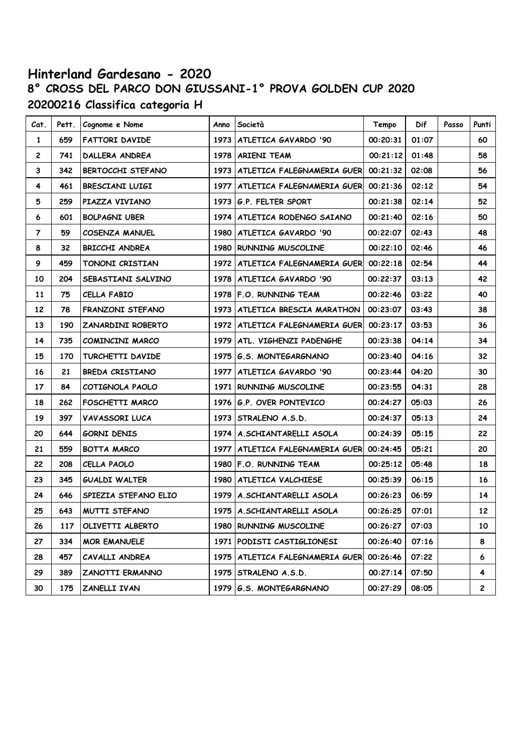# **Hinterland Gardesano - 2020 8° CROSS DEL PARCO DON GIUSSANI-1° PROVA GOLDEN CUP 2020 20200216 Classifica categoria H**

| Cat.           | Pett. | Cognome e Nome           | Anno | Società                                      | Tempo    | Dif   | Passo | Punti           |
|----------------|-------|--------------------------|------|----------------------------------------------|----------|-------|-------|-----------------|
| 1              | 659   | <b>FATTORI DAVIDE</b>    |      | 1973   ATLETICA GAVARDO '90                  | 00:20:31 | 01:07 |       | 60              |
| $\mathbf{2}$   | 741   | DALLERA ANDREA           | 1978 | <b>ARIENI TEAM</b>                           | 00:21:12 | 01:48 |       | 58              |
| 3              | 342   | BERTOCCHI STEFANO        |      | 1973   ATLETICA FALEGNAMERIA GUER            | 00:21:32 | 02:08 |       | 56              |
| 4              | 461   | BRESCIANI LUIGI          |      | 1977   ATLETICA FALEGNAMERIA GUER 00:21:36   |          | 02:12 |       | 54              |
| 5              | 259   | PIAZZA VIVIANO           |      | 1973 G.P. FELTER SPORT                       | 00:21:38 | 02:14 |       | 52              |
| 6              | 601   | <b>BOLPAGNI UBER</b>     |      | 1974   ATLETICA RODENGO SAIANO               | 00:21:40 | 02:16 |       | 50              |
| $\overline{7}$ | 59    | COSENZA MANUEL           | 1980 | ATLETICA GAVARDO '90                         | 00:22:07 | 02:43 |       | 48              |
| 8              | 32    | BRICCHI ANDREA           |      | 1980 RUNNING MUSCOLINE                       | 00:22:10 | 02:46 |       | 46              |
| 9              | 459   | TONONI CRISTIAN          |      | 1972   ATLETICA FALEGNAMERIA GUER   00:22:18 |          | 02:54 |       | 44              |
| 10             | 204   | SEBASTIANI SALVINO       |      | 1978   ATLETICA GAVARDO '90                  | 00:22:37 | 03:13 |       | 42              |
| 11             | 75    | <b>CELLA FABIO</b>       | 1978 | F.O. RUNNING TEAM                            | 00:22:46 | 03:22 |       | 40              |
| 12             | 78    | FRANZONI STEFANO         |      | 1973   ATLETICA BRESCIA MARATHON             | 00:23:07 | 03:43 |       | 38              |
| 13             | 190   | <b>ZANARDINI ROBERTO</b> |      | 1972   ATLETICA FALEGNAMERIA GUER            | 00:23:17 | 03:53 |       | 36              |
| 14             | 735   | COMINCINI MARCO          | 1979 | ATL. VIGHENZI PADENGHE                       | 00:23:38 | 04:14 |       | 34              |
| 15             | 170   | TURCHETTI DAVIDE         | 1975 | G.S. MONTEGARGNANO                           | 00:23:40 | 04:16 |       | 32              |
| 16             | 21    | BREDA CRISTIANO          |      | 1977   ATLETICA GAVARDO '90                  | 00:23:44 | 04:20 |       | 30              |
| 17             | 84    | COTIGNOLA PAOLO          |      | 1971 RUNNING MUSCOLINE                       | 00:23:55 | 04:31 |       | 28              |
| 18             | 262   | FOSCHETTI MARCO          |      | 1976 G.P. OVER PONTEVICO                     | 00:24:27 | 05:03 |       | 26              |
| 19             | 397   | VAVASSORI LUCA           | 1973 | STRALENO A.S.D.                              | 00:24:37 | 05:13 |       | 24              |
| 20             | 644   | <b>GORNI DENIS</b>       |      | 1974   A. SCHIANTARELLI ASOLA                | 00:24:39 | 05:15 |       | 22              |
| 21             | 559   | BOTTA MARCO              |      | 1977   ATLETICA FALEGNAMERIA GUER            | 00:24:45 | 05:21 |       | 20              |
| 22             | 208   | CELLA PAOLO              |      | 1980 F.O. RUNNING TEAM                       | 00:25:12 | 05:48 |       | 18              |
| 23             | 345   | <b>GUALDI WALTER</b>     | 1980 | ATLETICA VALCHIESE                           | 00:25:39 | 06:15 |       | 16              |
| 24             | 646   | SPIEZIA STEFANO ELIO     | 1979 | A.SCHIANTARELLI ASOLA                        | 00:26:23 | 06:59 |       | 14              |
| 25             | 643   | <b>MUTTI STEFANO</b>     |      | 1975   A. SCHIANTARELLI ASOLA                | 00:26:25 | 07:01 |       | 12 <sub>2</sub> |
| 26             | 117   | OLIVETTI ALBERTO         |      | 1980 RUNNING MUSCOLINE                       | 00:26:27 | 07:03 |       | 10              |
| 27             | 334   | <b>MOR EMANUELE</b>      |      | 1971   PODISTI CASTIGLIONESI                 | 00:26:40 | 07:16 |       | 8               |
| 28             | 457   | CAVALLI ANDREA           | 1975 | ATLETICA FALEGNAMERIA GUER                   | 00:26:46 | 07:22 |       | 6               |
| 29             | 389   | ZANOTTI ERMANNO          | 1975 | STRALENO A.S.D.                              | 00:27:14 | 07:50 |       | 4               |
| 30             | 175   | ZANELLI IVAN             |      | 1979 G.S. MONTEGARGNANO                      | 00:27:29 | 08:05 |       | 2               |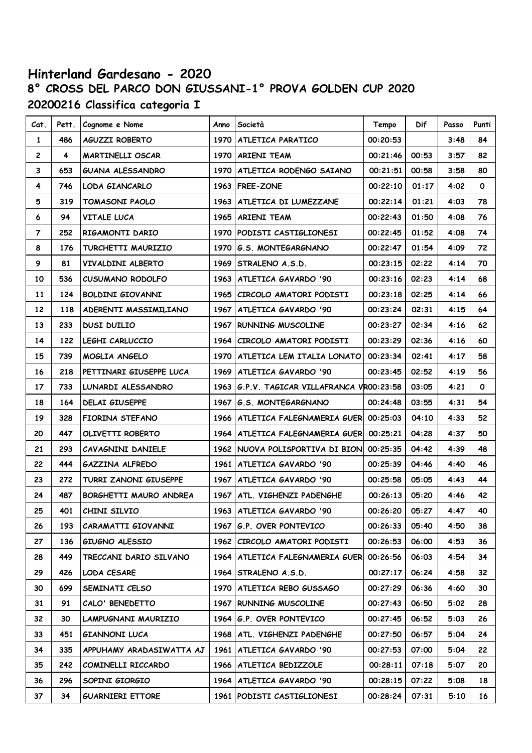### **Hinterland Gardesano - 2020 8° CROSS DEL PARCO DON GIUSSANI-1° PROVA GOLDEN CUP 2020 20200216 Classifica categoria I**

| Cat.           | Pett. | Cognome e Nome           | Anno | Società                                    | Tempo    | Dif   | Passo | Punti        |
|----------------|-------|--------------------------|------|--------------------------------------------|----------|-------|-------|--------------|
| 1              | 486   | AGUZZI ROBERTO           | 1970 | ATLETICA PARATICO                          | 00:20:53 |       | 3:48  | 84           |
| $\mathbf{2}$   | 4     | MARTINELLI OSCAR         | 1970 | <b>ARIENI TEAM</b>                         | 00:21:46 | 00:53 | 3:57  | 82           |
| 3              | 653   | GUANA ALESSANDRO         |      | 1970   ATLETICA RODENGO SAIANO             | 00:21:51 | 00:58 | 3:58  | 80           |
| 4              | 746   | LODA GIANCARLO           |      | 1963   FREE-ZONE                           | 00:22:10 | 01:17 | 4:02  | $\mathbf 0$  |
| 5              | 319   | TOMASONI PAOLO           | 1963 | ATLETICA DI LUMEZZANE                      | 00:22:14 | 01:21 | 4:03  | 78           |
| 6              | 94    | <b>VITALE LUCA</b>       |      | 1965   ARIENI TEAM                         | 00:22:43 | 01:50 | 4:08  | 76           |
| $\overline{7}$ | 252   | RIGAMONTI DARIO          |      | 1970 PODISTI CASTIGLIONESI                 | 00:22:45 | 01:52 | 4:08  | 74           |
| 8              | 176   | TURCHETTI MAURIZIO       | 1970 | G.S. MONTEGARGNANO                         | 00:22:47 | 01:54 | 4:09  | 72           |
| 9              | 81    | VIVALDINI ALBERTO        | 1969 | STRALENO A.S.D.                            | 00:23:15 | 02:22 | 4:14  | 70           |
| 10             | 536   | CUSUMANO RODOLFO         |      | 1963   ATLETICA GAVARDO '90                | 00:23:16 | 02:23 | 4:14  | 68           |
| 11             | 124   | BOLDINI GIOVANNI         |      | 1965 CIRCOLO AMATORI PODISTI               | 00:23:18 | 02:25 | 4:14  | 66           |
| 12             | 118   | ADERENTI MASSIMILIANO    |      | 1967   ATLETICA GAVARDO '90                | 00:23:24 | 02:31 | 4:15  | 64           |
| 13             | 233   | <b>DUSI DUILIO</b>       |      | 1967 RUNNING MUSCOLINE                     | 00:23:27 | 02:34 | 4:16  | 62           |
| 14             | 122   | LEGHI CARLUCCIO          | 1964 | CIRCOLO AMATORI PODISTI                    | 00:23:29 | 02:36 | 4:16  | 60           |
| 15             | 739   | MOGLIA ANGELO            |      | 1970   ATLETICA LEM ITALIA LONATO          | 00:23:34 | 02:41 | 4:17  | 58           |
| 16             | 218   | PETTINARI GIUSEPPE LUCA  | 1969 | ATLETICA GAVARDO '90                       | 00:23:45 | 02:52 | 4:19  | 56           |
| 17             | 733   | LUNARDI ALESSANDRO       | 1963 | G.P.V. TAGICAR VILLAFRANCA VR00:23:58      |          | 03:05 | 4:21  | $\mathbf{o}$ |
| 18             | 164   | <b>DELAI GIUSEPPE</b>    |      | 1967 G.S. MONTEGARGNANO                    | 00:24:48 | 03:55 | 4:31  | 54           |
| 19             | 328   | FIORINA STEFANO          |      | 1966   ATLETICA FALEGNAMERIA GUER 00:25:03 |          | 04:10 | 4:33  | 52           |
| 20             | 447   | OLIVETTI ROBERTO         |      | 1964   ATLETICA FALEGNAMERIA GUER 00:25:21 |          | 04:28 | 4:37  | 50           |
| 21             | 293   | CAVAGNINI DANIELE        |      | 1962 NUOVA POLISPORTIVA DI BION 00:25:35   |          | 04:42 | 4:39  | 48           |
| 22             | 444   | GAZZINA ALFREDO          |      | 1961   ATLETICA GAVARDO '90                | 00:25:39 | 04:46 | 4:40  | 46           |
| 23             | 272   | TURRI ZANONI GIUSEPPE    |      | 1967   ATLETICA GAVARDO '90                | 00:25:58 | 05:05 | 4:43  | 44           |
| 24             | 487   | BORGHETTI MAURO ANDREA   | 1967 | ATL. VIGHENZI PADENGHE                     | 00:26:13 | 05:20 | 4:46  | 42           |
| 25             | 401   | CHINI SILVIO             |      | 1963 ATLETICA GAVARDO '90                  | 00:26:20 | 05:27 | 4:47  | 40           |
| 26             | 193   | CARAMATTI GIOVANNI       |      | 1967 G.P. OVER PONTEVICO                   | 00:26:33 | 05:40 | 4:50  | 38           |
| 27             | 136   | GIUGNO ALESSIO           |      | 1962   CIRCOLO AMATORI PODISTI             | 00:26:53 | 06:00 | 4:53  | 36           |
| 28             | 449   | TRECCANI DARIO SILVANO   |      | 1964   ATLETICA FALEGNAMERIA GUERI         | 00:26:56 | 06:03 | 4:54  | 34           |
| 29             | 426   | LODA CESARE              |      | 1964 STRALENO A.S.D.                       | 00:27:17 | 06:24 | 4:58  | 32           |
| 30             | 699   | SEMINATI CELSO           |      | 1970   ATLETICA REBO GUSSAGO               | 00:27:29 | 06:36 | 4:60  | 30           |
| 31             | 91    | CALO' BENEDETTO          |      | 1967 RUNNING MUSCOLINE                     | 00:27:43 | 06:50 | 5:02  | 28           |
| 32             | 30    | LAMPUGNANI MAURIZIO      |      | 1964 G.P. OVER PONTEVICO                   | 00:27:45 | 06:52 | 5:03  | 26           |
| 33             | 451   | <b>GIANNONI LUCA</b>     |      | 1968   ATL. VIGHENZI PADENGHE              | 00:27:50 | 06:57 | 5:04  | 24           |
| 34             | 335   | APPUHAMY ARADASIWATTA AJ |      | 1961   ATLETICA GAVARDO '90                | 00:27:53 | 07:00 | 5:04  | 22           |
| 35             | 242   | COMINELLI RICCARDO       |      | 1966   ATLETICA BEDIZZOLE                  | 00:28:11 | 07:18 | 5:07  | 20           |
| 36             | 296   | SOPINI GIORGIO           |      | 1964   ATLETICA GAVARDO '90                | 00:28:15 | 07:22 | 5:08  | 18           |
| 37             | 34    | <b>GUARNIERI ETTORE</b>  |      | 1961   PODISTI CASTIGLIONESI               | 00:28:24 | 07:31 | 5:10  | 16           |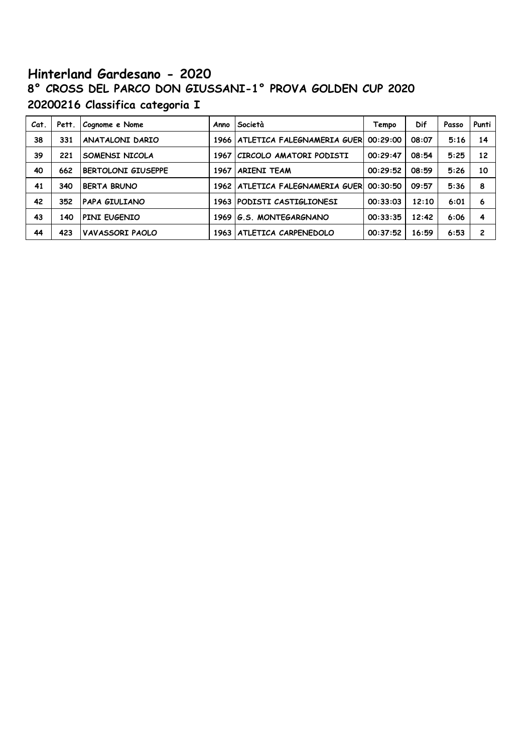# **Hinterland Gardesano - 2020 8° CROSS DEL PARCO DON GIUSSANI-1° PROVA GOLDEN CUP 2020 20200216 Classifica categoria I**

| Cat. | Pett. | Cognome e Nome            | Anno   | Società                     | Tempo    | Dif   | Passo | Punti          |
|------|-------|---------------------------|--------|-----------------------------|----------|-------|-------|----------------|
| 38   | 331   | <b>ANATALONI DARIO</b>    | 1966 l | ATLETICA FALEGNAMERIA GUERI | 00:29:00 | 08:07 | 5:16  | 14             |
| 39   | 221   | SOMENSI NICOLA            | 1967   | CIRCOLO AMATORI PODISTI     | 00:29:47 | 08:54 | 5:25  | 12             |
| 40   | 662   | <b>BERTOLONI GIUSEPPE</b> | 1967   | <b>ARIENI TEAM</b>          | 00:29:52 | 08:59 | 5:26  | 10             |
| 41   | 340   | <b>BERTA BRUNO</b>        | 1962   | ATLETICA FALEGNAMERIA GUERI | 00:30:50 | 09:57 | 5:36  | 8              |
| 42   | 352   | <b>PAPA GIULIANO</b>      |        | 1963 PODISTI CASTIGLIONESI  | 00:33:03 | 12:10 | 6:01  | 6              |
| 43   | 140   | PINI EUGENIO              | 1969   | G.S. MONTEGARGNANO          | 00:33:35 | 12:42 | 6:06  | 4              |
| 44   | 423   | VAVASSORI PAOLO           | 1963   | ATLETICA CARPENEDOLO        | 00:37:52 | 16:59 | 6:53  | $\overline{c}$ |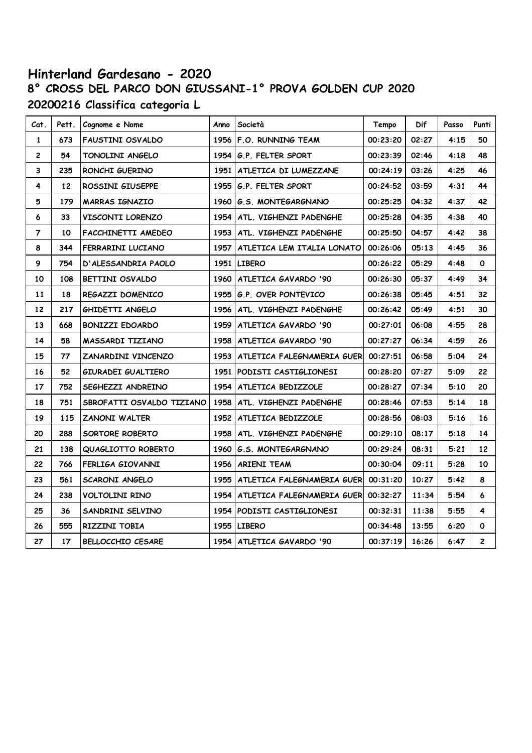# **Hinterland Gardesano - 2020 8° CROSS DEL PARCO DON GIUSSANI-1° PROVA GOLDEN CUP 2020 20200216 Classifica categoria L**

| Cat.           | Pett. | Cognome e Nome            | Anno | Società                                      | Tempo    | Dif   | Passo | Punti                   |
|----------------|-------|---------------------------|------|----------------------------------------------|----------|-------|-------|-------------------------|
| 1              | 673   | FAUSTINI OSVALDO          |      | 1956 F.O. RUNNING TEAM                       | 00:23:20 | 02:27 | 4:15  | 50                      |
| $\mathbf{2}$   | 54    | TONOLINI ANGELO           |      | 1954 G.P. FELTER SPORT                       | 00:23:39 | 02:46 | 4:18  | 48                      |
| 3              | 235   | RONCHI GUERINO            |      | 1951   ATLETICA DI LUMEZZANE                 | 00:24:19 | 03:26 | 4:25  | 46                      |
| 4              | 12    | ROSSINI GIUSEPPE          | 1955 | G.P. FELTER SPORT                            | 00:24:52 | 03:59 | 4:31  | 44                      |
| 5              | 179   | <b>MARRAS IGNAZIO</b>     | 1960 | G.S. MONTEGARGNANO                           | 00:25:25 | 04:32 | 4:37  | 42                      |
| 6              | 33    | VISCONTI LORENZO          | 1954 | ATL. VIGHENZI PADENGHE                       | 00:25:28 | 04:35 | 4:38  | 40                      |
| $\overline{7}$ | 10    | FACCHINETTI AMEDEO        | 1953 | ATL. VIGHENZI PADENGHE                       | 00:25:50 | 04:57 | 4:42  | 38                      |
| 8              | 344   | FERRARINI LUCIANO         |      | 1957   ATLETICA LEM ITALIA LONATO            | 00:26:06 | 05:13 | 4:45  | 36                      |
| 9              | 754   | D'ALESSANDRIA PAOLO       |      | 1951 LIBERO                                  | 00:26:22 | 05:29 | 4:48  | O                       |
| 10             | 108   | BETTINI OSVALDO           | 1960 | ATLETICA GAVARDO '90                         | 00:26:30 | 05:37 | 4:49  | 34                      |
| 11             | 18    | REGAZZI DOMENICO          |      | 1955 G.P. OVER PONTEVICO                     | 00:26:38 | 05:45 | 4:51  | 32                      |
| 12             | 217   | GHIDETTI ANGELO           |      | 1956   ATL. VIGHENZI PADENGHE                | 00:26:42 | 05:49 | 4:51  | 30                      |
| 13             | 668   | <b>BONIZZI EDOARDO</b>    | 1959 | ATLETICA GAVARDO '90                         | 00:27:01 | 06:08 | 4:55  | 28                      |
| 14             | 58    | MASSARDI TIZIANO          |      | 1958   ATLETICA GAVARDO '90                  | 00:27:27 | 06:34 | 4:59  | 26                      |
| 15             | 77    | ZANARDINI VINCENZO        |      | 1953   ATLETICA FALEGNAMERIA GUER   00:27:51 |          | 06:58 | 5:04  | 24                      |
| 16             | 52    | GIURADEI GUALTIERO        |      | 1951 PODISTI CASTIGLIONESI                   | 00:28:20 | 07:27 | 5:09  | 22                      |
| 17             | 752   | SEGHEZZI ANDREINO         | 1954 | <b>ATLETICA BEDIZZOLE</b>                    | 00:28:27 | 07:34 | 5:10  | 20                      |
| 18             | 751   | SBROFATTI OSVALDO TIZIANO | 1958 | ATL. VIGHENZI PADENGHE                       | 00:28:46 | 07:53 | 5:14  | 18                      |
| 19             | 115   | <b>ZANONI WALTER</b>      | 1952 | ATLETICA BEDIZZOLE                           | 00:28:56 | 08:03 | 5:16  | 16                      |
| 20             | 288   | SORTORE ROBERTO           | 1958 | ATL. VIGHENZI PADENGHE                       | 00:29:10 | 08:17 | 5:18  | 14                      |
| 21             | 138   | QUAGLIOTTO ROBERTO        | 1960 | G.S. MONTEGARGNANO                           | 00:29:24 | 08:31 | 5:21  | 12                      |
| 22             | 766   | FERLIGA GIOVANNI          | 1956 | <b>ARIENI TEAM</b>                           | 00:30:04 | 09:11 | 5:28  | 10                      |
| 23             | 561   | SCARONI ANGELO            |      | 1955   ATLETICA FALEGNAMERIA GUER   00:31:20 |          | 10:27 | 5:42  | 8                       |
| 24             | 238   | VOLTOLINI RINO            | 1954 | ATLETICA FALEGNAMERIA GUER                   | 00:32:27 | 11:34 | 5:54  | 6                       |
| 25             | 36    | SANDRINI SELVINO          |      | 1954 PODISTI CASTIGLIONESI                   | 00:32:31 | 11:38 | 5:55  | 4                       |
| 26             | 555   | RIZZINI TOBIA             |      | 1955 LIBERO                                  | 00:34:48 | 13:55 | 6:20  | O                       |
| 27             | 17    | <b>BELLOCCHIO CESARE</b>  |      | 1954 ATLETICA GAVARDO '90                    | 00:37:19 | 16:26 | 6:47  | $\overline{\mathbf{c}}$ |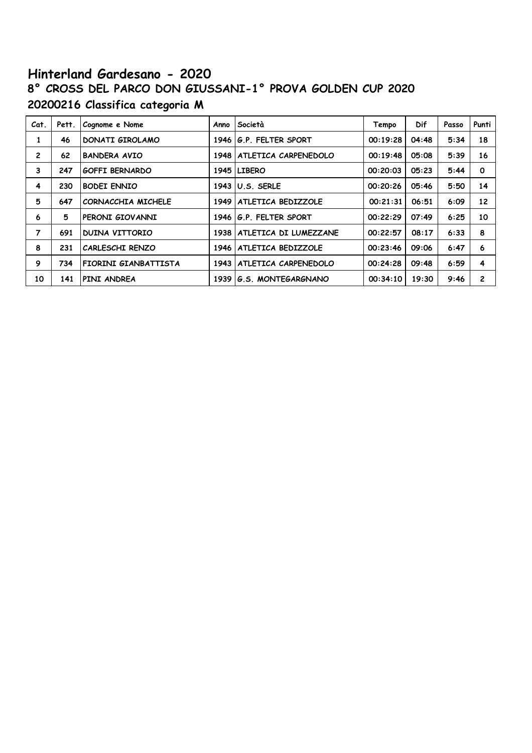# **Hinterland Gardesano - 2020 8° CROSS DEL PARCO DON GIUSSANI-1° PROVA GOLDEN CUP 2020 20200216 Classifica categoria M**

| Cat.           | Pett. | Cognome e Nome        | Anno | Società               | Tempo    | Dif   | Passo | Punti          |
|----------------|-------|-----------------------|------|-----------------------|----------|-------|-------|----------------|
| 1              | 46    | DONATI GIROLAMO       | 1946 | G.P. FELTER SPORT     | 00:19:28 | 04:48 | 5:34  | 18             |
| $\overline{c}$ | 62    | <b>BANDERA AVIO</b>   | 1948 | ATLETICA CARPENEDOLO  | 00:19:48 | 05:08 | 5:39  | 16             |
| 3              | 247   | <b>GOFFI BERNARDO</b> |      | 1945 LIBERO           | 00:20:03 | 05:23 | 5:44  | $\mathbf 0$    |
| 4              | 230   | <b>BODEI ENNIO</b>    | 1943 | U.S. SERLE            | 00:20:26 | 05:46 | 5:50  | 14             |
| 5              | 647   | CORNACCHIA MICHELE    | 1949 | ATLETICA BEDIZZOLE    | 00:21:31 | 06:51 | 6:09  | 12             |
| 6              | 5     | PERONI GIOVANNI       | 1946 | G.P. FELTER SPORT     | 00:22:29 | 07:49 | 6:25  | 10             |
| $\overline{7}$ | 691   | <b>DUINA VITTORIO</b> | 1938 | ATLETICA DI LUMEZZANE | 00:22:57 | 08:17 | 6:33  | 8              |
| 8              | 231   | CARLESCHI RENZO       | 1946 | ATLETICA BEDIZZOLE    | 00:23:46 | 09:06 | 6:47  | 6              |
| 9              | 734   | FIORINI GIANBATTISTA  | 1943 | ATLETICA CARPENEDOLO  | 00:24:28 | 09:48 | 6:59  | 4              |
| 10             | 141   | PINI ANDREA           | 1939 | G.S. MONTEGARGNANO    | 00:34:10 | 19:30 | 9:46  | $\overline{c}$ |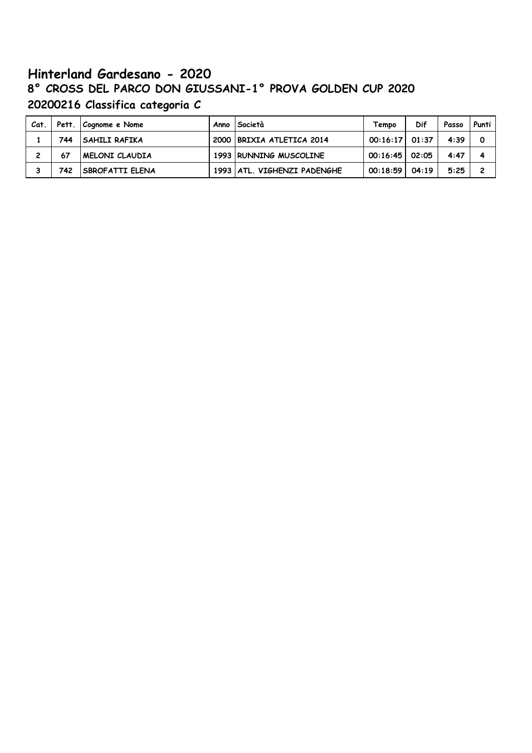# **Hinterland Gardesano - 2020 8° CROSS DEL PARCO DON GIUSSANI-1° PROVA GOLDEN CUP 2020 20200216 Classifica categoria C**

| Cat.     |     | Pett. Cognome e Nome   | Anno <i>Società</i>           | Tempo            | Dif   | Passo | Punti |
|----------|-----|------------------------|-------------------------------|------------------|-------|-------|-------|
|          | 744 | SAHILI RAFIKA          | 2000   BRIXIA ATLETICA 2014   | $00:16:17$ 01:37 |       | 4:39  |       |
| <b>っ</b> | 67  | <b>IMELONI CLAUDIA</b> | 1993 RUNNING MUSCOLINE        | $00:16:45$ 02:05 |       | 4:47  |       |
|          | 742 | <b>SBROFATTI ELENA</b> | 1993   ATL. VIGHENZI PADENGHE | 00:18:59         | 04:19 | 5:25  | 2     |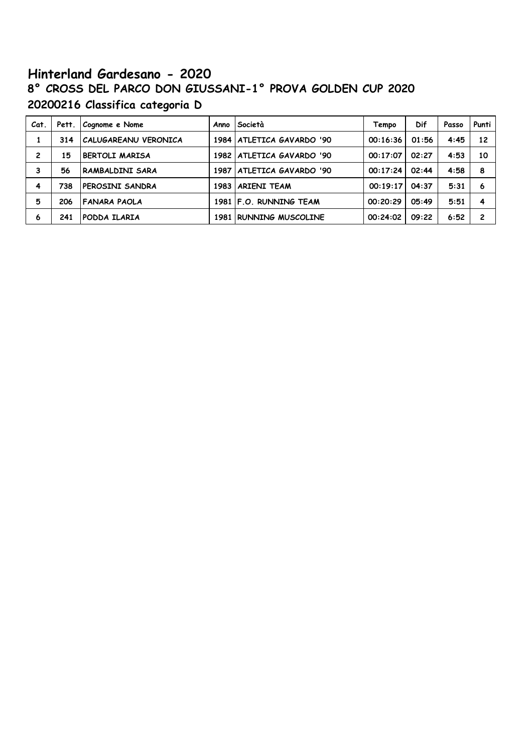# **Hinterland Gardesano - 2020 8° CROSS DEL PARCO DON GIUSSANI-1° PROVA GOLDEN CUP 2020 20200216 Classifica categoria D**

| Cat. | Pett. | Cognome e Nome        | Anno I | Società                     | Tempo    | Dif   | Passo | Punti          |
|------|-------|-----------------------|--------|-----------------------------|----------|-------|-------|----------------|
|      | 314   | CALUGAREANU VERONICA  |        | 1984   ATLETICA GAVARDO '90 | 00:16:36 | 01:56 | 4:45  | 12             |
| 2    | 15    | <b>BERTOLI MARISA</b> |        | 1982   ATLETICA GAVARDO '90 | 00:17:07 | 02:27 | 4:53  | 10             |
| 3    | 56    | RAMBALDINI SARA       |        | 1987   ATLETICA GAVARDO '90 | 00:17:24 | 02:44 | 4:58  | 8              |
| 4    | 738   | PEROSINI SANDRA       |        | 1983 ARIENI TEAM            | 00:19:17 | 04:37 | 5:31  | 6              |
| 5    | 206   | <b>FANARA PAOLA</b>   |        | 1981 F.O. RUNNING TEAM      | 00:20:29 | 05:49 | 5:51  | 4              |
| 6    | 241   | PODDA ILARIA          |        | 1981 RUNNING MUSCOLINE      | 00:24:02 | 09:22 | 6:52  | $\overline{c}$ |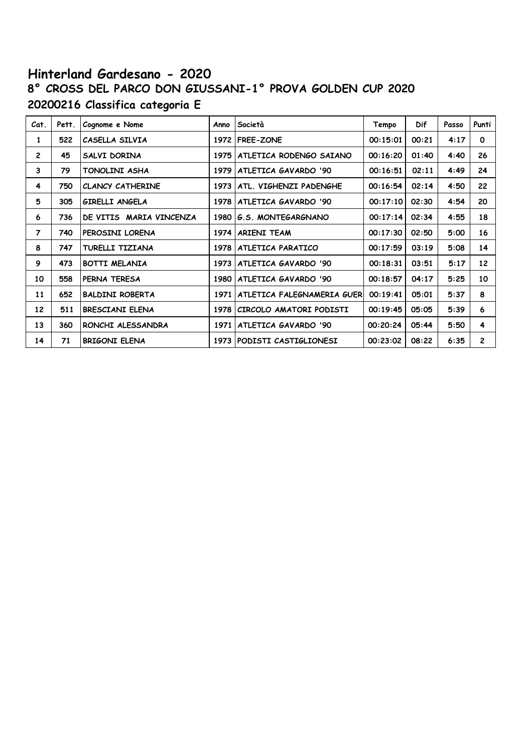# **Hinterland Gardesano - 2020 8° CROSS DEL PARCO DON GIUSSANI-1° PROVA GOLDEN CUP 2020 20200216 Classifica categoria E**

| Cat.           | Pett. | Cognome e Nome          | Anno | Società                        | Tempo    | <b>Dif</b> | Passo | Punti        |
|----------------|-------|-------------------------|------|--------------------------------|----------|------------|-------|--------------|
| 1              | 522   | CASELLA SILVIA          |      | 1972   FREE-ZONE               | 00:15:01 | 00:21      | 4:17  | $\mathbf 0$  |
| $\overline{c}$ | 45    | SALVI DORINA            |      | 1975   ATLETICA RODENGO SAIANO | 00:16:20 | 01:40      | 4:40  | 26           |
| 3              | 79    | TONOLINI ASHA           |      | 1979   ATLETICA GAVARDO '90    | 00:16:51 | 02:11      | 4:49  | 24           |
| 4              | 750   | <b>CLANCY CATHERINE</b> | 1973 | ATL. VIGHENZI PADENGHE         | 00:16:54 | 02:14      | 4:50  | 22           |
| 5              | 305   | <b>GIRELLI ANGELA</b>   |      | 1978   ATLETICA GAVARDO '90    | 00:17:10 | 02:30      | 4:54  | 20           |
| 6              | 736   | DE VITIS MARIA VINCENZA | 1980 | G.S. MONTEGARGNANO             | 00:17:14 | 02:34      | 4:55  | 18           |
| $\overline{7}$ | 740   | PEROSINI LORENA         |      | 1974 ARIENI TEAM               | 00:17:30 | 02:50      | 5:00  | 16           |
| 8              | 747   | TURELLI TIZIANA         |      | 1978   ATLETICA PARATICO       | 00:17:59 | 03:19      | 5:08  | 14           |
| 9              | 473   | <b>BOTTI MELANIA</b>    | 1973 | ATLETICA GAVARDO '90           | 00:18:31 | 03:51      | 5:17  | 12           |
| 10             | 558   | PERNA TERESA            | 1980 | ATLETICA GAVARDO '90           | 00:18:57 | 04:17      | 5:25  | 10           |
| 11             | 652   | <b>BALDINI ROBERTA</b>  | 1971 | ATLETICA FALEGNAMERIA GUERI    | 00:19:41 | 05:01      | 5:37  | 8            |
| 12             | 511   | <b>BRESCIANI ELENA</b>  | 1978 | CIRCOLO AMATORI PODISTI        | 00:19:45 | 05:05      | 5:39  | 6            |
| 13             | 360   | RONCHI ALESSANDRA       | 1971 | ATLETICA GAVARDO '90           | 00:20:24 | 05:44      | 5:50  | 4            |
| 14             | 71    | <b>BRIGONI ELENA</b>    |      | 1973 PODISTI CASTIGLIONESI     | 00:23:02 | 08:22      | 6:35  | $\mathbf{2}$ |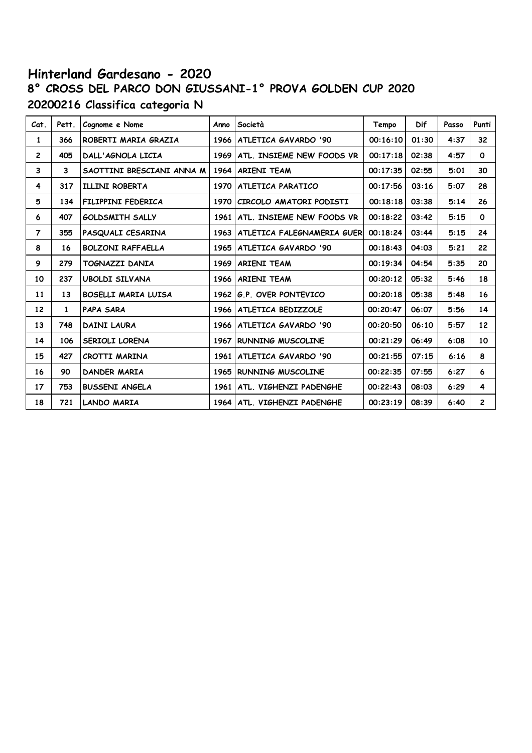# **Hinterland Gardesano - 2020 8° CROSS DEL PARCO DON GIUSSANI-1° PROVA GOLDEN CUP 2020 20200216 Classifica categoria N**

| Cat.           | Pett. | Cognome e Nome             | Anno | Società                          | Tempo    | Dif   | Passo | Punti          |
|----------------|-------|----------------------------|------|----------------------------------|----------|-------|-------|----------------|
| 1              | 366   | ROBERTI MARIA GRAZIA       | 1966 | ATLETICA GAVARDO '90             | 00:16:10 | 01:30 | 4:37  | 32             |
| $\overline{2}$ | 405   | DALL'AGNOLA LICIA          |      | 1969   ATL. INSIEME NEW FOODS VR | 00:17:18 | 02:38 | 4:57  | $\mathbf{o}$   |
| 3              | 3     | SAOTTINI BRESCIANI ANNA M  |      | 1964 ARIENI TEAM                 | 00:17:35 | 02:55 | 5:01  | 30             |
| 4              | 317   | ILLINI ROBERTA             |      | 1970   ATLETICA PARATICO         | 00:17:56 | 03:16 | 5:07  | 28             |
| 5              | 134   | FILIPPINI FEDERICA         | 1970 | CIRCOLO AMATORI PODISTI          | 00:18:18 | 03:38 | 5:14  | 26             |
| 6              | 407   | <b>GOLDSMITH SALLY</b>     | 1961 | ATL. INSIEME NEW FOODS VR        | 00:18:22 | 03:42 | 5:15  | $\mathbf 0$    |
| $\overline{7}$ | 355   | PASQUALI CESARINA          | 1963 | ATLETICA FALEGNAMERIA GUERI      | 00:18:24 | 03:44 | 5:15  | 24             |
| 8              | 16    | <b>BOLZONI RAFFAELLA</b>   | 1965 | ATLETICA GAVARDO '90             | 00:18:43 | 04:03 | 5:21  | 22             |
| 9              | 279   | <b>TOGNAZZI DANIA</b>      | 1969 | <b>ARIENI TEAM</b>               | 00:19:34 | 04:54 | 5:35  | 20             |
| 10             | 237   | <b>UBOLDI SILVANA</b>      | 1966 | <b>ARIENI TEAM</b>               | 00:20:12 | 05:32 | 5:46  | 18             |
| 11             | 13    | <b>BOSELLI MARIA LUISA</b> | 1962 | G.P. OVER PONTEVICO              | 00:20:18 | 05:38 | 5:48  | 16             |
| 12             | 1     | <b>PAPA SARA</b>           |      | 1966   ATLETICA BEDIZZOLE        | 00:20:47 | 06:07 | 5:56  | 14             |
| 13             | 748   | <b>DAINI LAURA</b>         |      | 1966   ATLETICA GAVARDO '90      | 00:20:50 | 06:10 | 5:57  | 12             |
| 14             | 106   | <b>SERIOLI LORENA</b>      | 1967 | <b>RUNNING MUSCOLINE</b>         | 00:21:29 | 06:49 | 6:08  | 10             |
| 15             | 427   | CROTTI MARINA              | 1961 | ATLETICA GAVARDO '90             | 00:21:55 | 07:15 | 6:16  | 8              |
| 16             | 90    | <b>DANDER MARIA</b>        |      | 1965 RUNNING MUSCOLINE           | 00:22:35 | 07:55 | 6:27  | 6              |
| 17             | 753   | <b>BUSSENI ANGELA</b>      | 1961 | ATL. VIGHENZI PADENGHE           | 00:22:43 | 08:03 | 6:29  | 4              |
| 18             | 721   | <b>LANDO MARIA</b>         |      | 1964   ATL. VIGHENZI PADENGHE    | 00:23:19 | 08:39 | 6:40  | $\overline{c}$ |